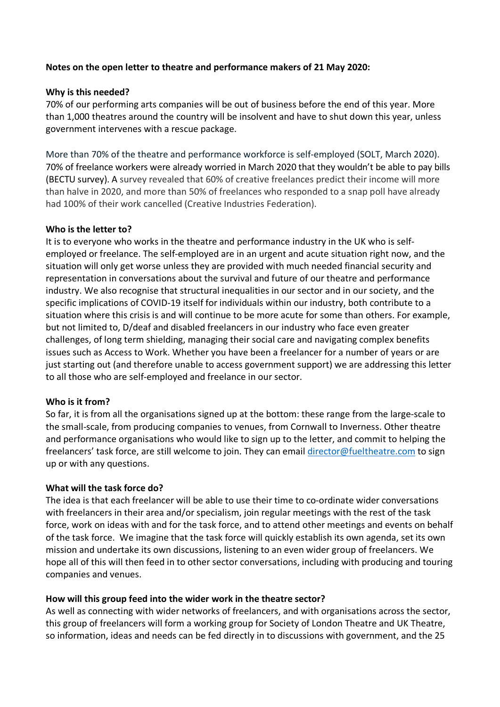### **Notes on the open letter to theatre and performance makers of 21 May 2020:**

### **Why is this needed?**

70% of our performing arts companies will be out of business before the end of this year. More than 1,000 theatres around the country will be insolvent and have to shut down this year, unless government intervenes with a rescue package.

More than 70% of the theatre and performance workforce is self-employed (SOLT, March 2020). 70% of freelance workers were already worried in March 2020 that they wouldn't be able to pay bills (BECTU survey). A survey revealed that 60% of creative freelances predict their income will more than halve in 2020, and more than 50% of freelances who responded to a snap poll have already had 100% of their work cancelled (Creative Industries Federation).

### **Who is the letter to?**

It is to everyone who works in the theatre and performance industry in the UK who is selfemployed or freelance. The self-employed are in an urgent and acute situation right now, and the situation will only get worse unless they are provided with much needed financial security and representation in conversations about the survival and future of our theatre and performance industry. We also recognise that structural inequalities in our sector and in our society, and the specific implications of COVID-19 itself for individuals within our industry, both contribute to a situation where this crisis is and will continue to be more acute for some than others. For example, but not limited to, D/deaf and disabled freelancers in our industry who face even greater challenges, of long term shielding, managing their social care and navigating complex benefits issues such as Access to Work. Whether you have been a freelancer for a number of years or are just starting out (and therefore unable to access government support) we are addressing this letter to all those who are self-employed and freelance in our sector.

### **Who is it from?**

So far, it is from all the organisations signed up at the bottom: these range from the large-scale to the small-scale, from producing companies to venues, from Cornwall to Inverness. Other theatre and performance organisations who would like to sign up to the letter, and commit to helping the freelancers' task force, are still welcome to join. They can email director@fueltheatre.com to sign up or with any questions.

### **What will the task force do?**

The idea is that each freelancer will be able to use their time to co-ordinate wider conversations with freelancers in their area and/or specialism, join regular meetings with the rest of the task force, work on ideas with and for the task force, and to attend other meetings and events on behalf of the task force. We imagine that the task force will quickly establish its own agenda, set its own mission and undertake its own discussions, listening to an even wider group of freelancers. We hope all of this will then feed in to other sector conversations, including with producing and touring companies and venues.

### **How will this group feed into the wider work in the theatre sector?**

As well as connecting with wider networks of freelancers, and with organisations across the sector, this group of freelancers will form a working group for Society of London Theatre and UK Theatre, so information, ideas and needs can be fed directly in to discussions with government, and the 25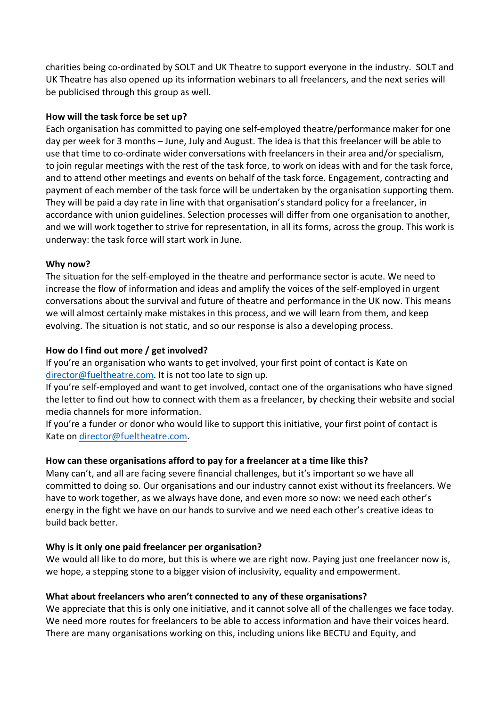charities being co-ordinated by SOLT and UK Theatre to support everyone in the industry. SOLT and UK Theatre has also opened up its information webinars to all freelancers, and the next series will be publicised through this group as well.

### **How will the task force be set up?**

Each organisation has committed to paying one self-employed theatre/performance maker for one day per week for 3 months – June, July and August. The idea is that this freelancer will be able to use that time to co-ordinate wider conversations with freelancers in their area and/or specialism, to join regular meetings with the rest of the task force, to work on ideas with and for the task force, and to attend other meetings and events on behalf of the task force. Engagement, contracting and payment of each member of the task force will be undertaken by the organisation supporting them. They will be paid a day rate in line with that organisation's standard policy for a freelancer, in accordance with union guidelines. Selection processes will differ from one organisation to another, and we will work together to strive for representation, in all its forms, across the group. This work is underway: the task force will start work in June.

### **Why now?**

The situation for the self-employed in the theatre and performance sector is acute. We need to increase the flow of information and ideas and amplify the voices of the self-employed in urgent conversations about the survival and future of theatre and performance in the UK now. This means we will almost certainly make mistakes in this process, and we will learn from them, and keep evolving. The situation is not static, and so our response is also a developing process.

## **How do I find out more / get involved?**

If you're an organisation who wants to get involved, your first point of contact is Kate on director@fueltheatre.com. It is not too late to sign up.

If you're self-employed and want to get involved, contact one of the organisations who have signed the letter to find out how to connect with them as a freelancer, by checking their website and social media channels for more information.

If you're a funder or donor who would like to support this initiative, your first point of contact is Kate on director@fueltheatre.com.

# **How can these organisations afford to pay for a freelancer at a time like this?**

Many can't, and all are facing severe financial challenges, but it's important so we have all committed to doing so. Our organisations and our industry cannot exist without its freelancers. We have to work together, as we always have done, and even more so now: we need each other's energy in the fight we have on our hands to survive and we need each other's creative ideas to build back better.

### **Why is it only one paid freelancer per organisation?**

We would all like to do more, but this is where we are right now. Paying just one freelancer now is, we hope, a stepping stone to a bigger vision of inclusivity, equality and empowerment.

# **What about freelancers who aren't connected to any of these organisations?**

We appreciate that this is only one initiative, and it cannot solve all of the challenges we face today. We need more routes for freelancers to be able to access information and have their voices heard. There are many organisations working on this, including unions like BECTU and Equity, and